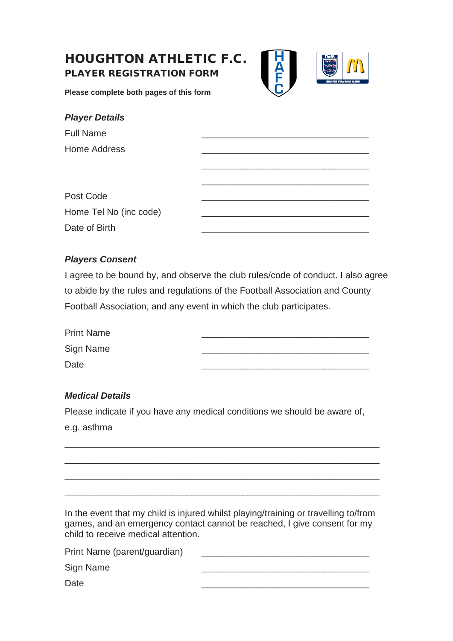# HOUGHTON ATHLETIC F.C. PLAYER REGISTRATION FORM



**Please complete both pages of this form**

| <b>Player Details</b>  |  |
|------------------------|--|
| <b>Full Name</b>       |  |
| Home Address           |  |
|                        |  |
|                        |  |
| Post Code              |  |
| Home Tel No (inc code) |  |
| Date of Birth          |  |
|                        |  |

### *Players Consent*

I agree to be bound by, and observe the club rules/code of conduct. I also agree to abide by the rules and regulations of the Football Association and County Football Association, and any event in which the club participates.

| <b>Print Name</b> |  |
|-------------------|--|
| Sign Name         |  |
| Date              |  |

### *Medical Details*

Please indicate if you have any medical conditions we should be aware of, e.g. asthma

\_\_\_\_\_\_\_\_\_\_\_\_\_\_\_\_\_\_\_\_\_\_\_\_\_\_\_\_\_\_\_\_\_\_\_\_\_\_\_\_\_\_\_\_\_\_\_\_\_\_\_\_\_\_\_\_\_\_\_\_\_\_

\_\_\_\_\_\_\_\_\_\_\_\_\_\_\_\_\_\_\_\_\_\_\_\_\_\_\_\_\_\_\_\_\_\_\_\_\_\_\_\_\_\_\_\_\_\_\_\_\_\_\_\_\_\_\_\_\_\_\_\_\_\_

\_\_\_\_\_\_\_\_\_\_\_\_\_\_\_\_\_\_\_\_\_\_\_\_\_\_\_\_\_\_\_\_\_\_\_\_\_\_\_\_\_\_\_\_\_\_\_\_\_\_\_\_\_\_\_\_\_\_\_\_\_\_

\_\_\_\_\_\_\_\_\_\_\_\_\_\_\_\_\_\_\_\_\_\_\_\_\_\_\_\_\_\_\_\_\_\_\_\_\_\_\_\_\_\_\_\_\_\_\_\_\_\_\_\_\_\_\_\_\_\_\_\_\_\_

In the event that my child is injured whilst playing/training or travelling to/from games, and an emergency contact cannot be reached, I give consent for my child to receive medical attention.

| Print Name (parent/guardian) |  |
|------------------------------|--|
| Sign Name                    |  |
| Date                         |  |
|                              |  |